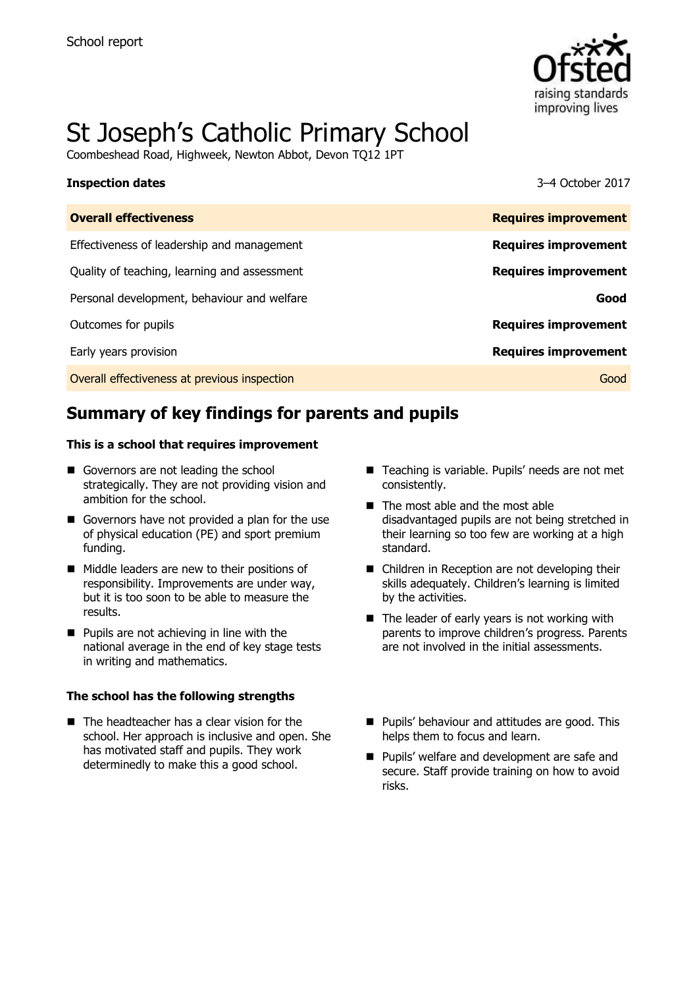

# St Joseph's Catholic Primary School

Coombeshead Road, Highweek, Newton Abbot, Devon TQ12 1PT

### **Inspection dates** 3–4 October 2017

| <b>Overall effectiveness</b>                 | <b>Requires improvement</b> |
|----------------------------------------------|-----------------------------|
| Effectiveness of leadership and management   | <b>Requires improvement</b> |
| Quality of teaching, learning and assessment | <b>Requires improvement</b> |
| Personal development, behaviour and welfare  | Good                        |
| Outcomes for pupils                          | <b>Requires improvement</b> |
| Early years provision                        | <b>Requires improvement</b> |
| Overall effectiveness at previous inspection | Good                        |
|                                              |                             |

# **Summary of key findings for parents and pupils**

### **This is a school that requires improvement**

- Governors are not leading the school strategically. They are not providing vision and ambition for the school.
- Governors have not provided a plan for the use of physical education (PE) and sport premium funding.
- Middle leaders are new to their positions of responsibility. Improvements are under way, but it is too soon to be able to measure the results.
- $\blacksquare$  Pupils are not achieving in line with the national average in the end of key stage tests in writing and mathematics.

### **The school has the following strengths**

■ The headteacher has a clear vision for the school. Her approach is inclusive and open. She has motivated staff and pupils. They work determinedly to make this a good school.

- Teaching is variable. Pupils' needs are not met consistently.
- $\blacksquare$  The most able and the most able disadvantaged pupils are not being stretched in their learning so too few are working at a high standard.
- Children in Reception are not developing their skills adequately. Children's learning is limited by the activities.
- $\blacksquare$  The leader of early years is not working with parents to improve children's progress. Parents are not involved in the initial assessments.
- **Pupils' behaviour and attitudes are good. This** helps them to focus and learn.
- **Pupils' welfare and development are safe and** secure. Staff provide training on how to avoid risks.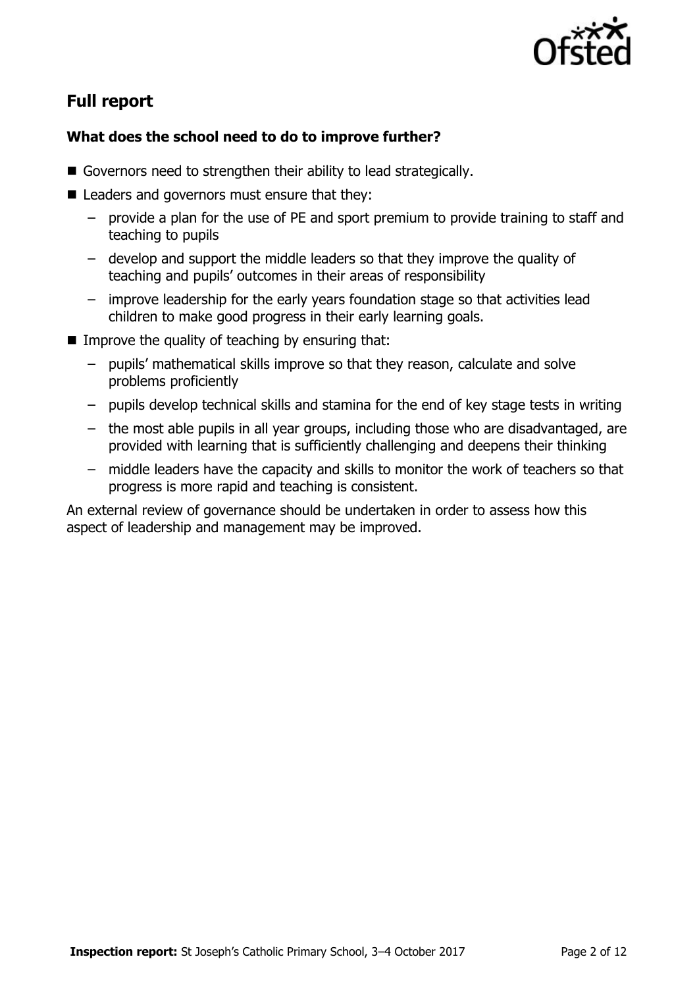

# **Full report**

### **What does the school need to do to improve further?**

- Governors need to strengthen their ability to lead strategically.
- Leaders and governors must ensure that they:
	- provide a plan for the use of PE and sport premium to provide training to staff and teaching to pupils
	- develop and support the middle leaders so that they improve the quality of teaching and pupils' outcomes in their areas of responsibility
	- improve leadership for the early years foundation stage so that activities lead children to make good progress in their early learning goals.
- $\blacksquare$  Improve the quality of teaching by ensuring that:
	- pupils' mathematical skills improve so that they reason, calculate and solve problems proficiently
	- pupils develop technical skills and stamina for the end of key stage tests in writing
	- the most able pupils in all year groups, including those who are disadvantaged, are provided with learning that is sufficiently challenging and deepens their thinking
	- middle leaders have the capacity and skills to monitor the work of teachers so that progress is more rapid and teaching is consistent.

An external review of governance should be undertaken in order to assess how this aspect of leadership and management may be improved.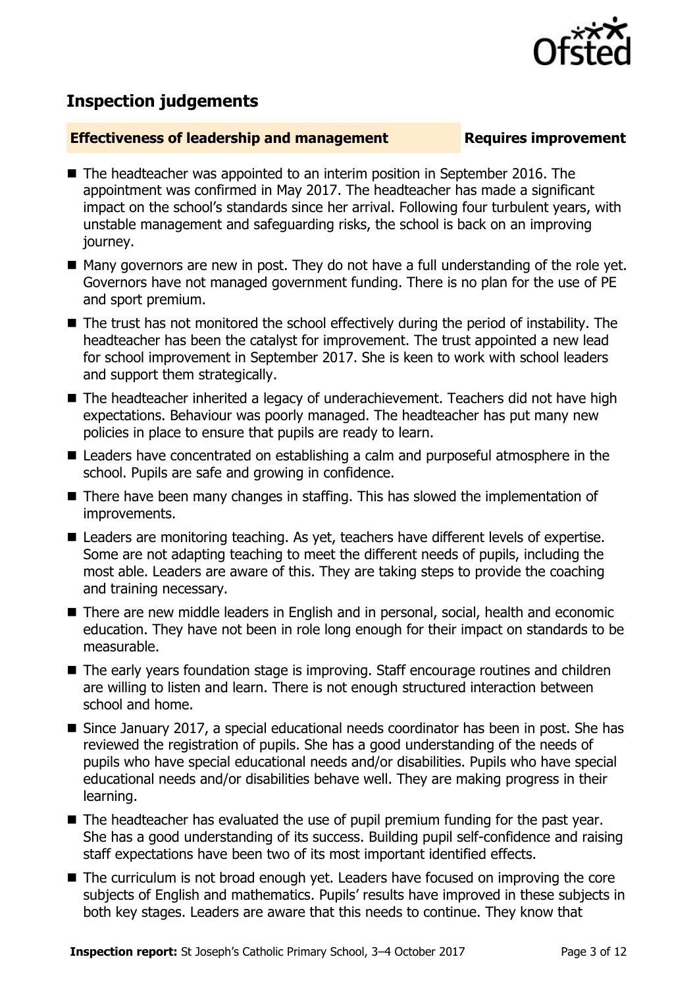

# **Inspection judgements**

### **Effectiveness of leadership and management Requires improvement**

- The headteacher was appointed to an interim position in September 2016. The appointment was confirmed in May 2017. The headteacher has made a significant impact on the school's standards since her arrival. Following four turbulent years, with unstable management and safeguarding risks, the school is back on an improving journey.
- Many governors are new in post. They do not have a full understanding of the role yet. Governors have not managed government funding. There is no plan for the use of PE and sport premium.
- The trust has not monitored the school effectively during the period of instability. The headteacher has been the catalyst for improvement. The trust appointed a new lead for school improvement in September 2017. She is keen to work with school leaders and support them strategically.
- The headteacher inherited a legacy of underachievement. Teachers did not have high expectations. Behaviour was poorly managed. The headteacher has put many new policies in place to ensure that pupils are ready to learn.
- Leaders have concentrated on establishing a calm and purposeful atmosphere in the school. Pupils are safe and growing in confidence.
- There have been many changes in staffing. This has slowed the implementation of improvements.
- Leaders are monitoring teaching. As yet, teachers have different levels of expertise. Some are not adapting teaching to meet the different needs of pupils, including the most able. Leaders are aware of this. They are taking steps to provide the coaching and training necessary.
- There are new middle leaders in English and in personal, social, health and economic education. They have not been in role long enough for their impact on standards to be measurable.
- The early years foundation stage is improving. Staff encourage routines and children are willing to listen and learn. There is not enough structured interaction between school and home.
- Since January 2017, a special educational needs coordinator has been in post. She has reviewed the registration of pupils. She has a good understanding of the needs of pupils who have special educational needs and/or disabilities. Pupils who have special educational needs and/or disabilities behave well. They are making progress in their learning.
- The headteacher has evaluated the use of pupil premium funding for the past year. She has a good understanding of its success. Building pupil self-confidence and raising staff expectations have been two of its most important identified effects.
- The curriculum is not broad enough yet. Leaders have focused on improving the core subjects of English and mathematics. Pupils' results have improved in these subjects in both key stages. Leaders are aware that this needs to continue. They know that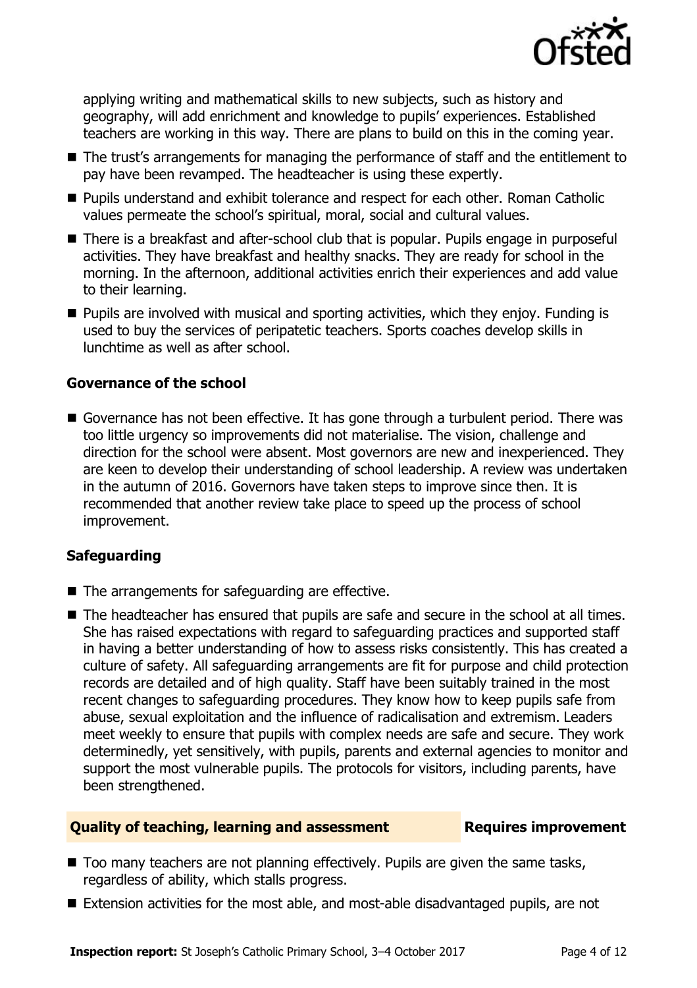

applying writing and mathematical skills to new subjects, such as history and geography, will add enrichment and knowledge to pupils' experiences. Established teachers are working in this way. There are plans to build on this in the coming year.

- The trust's arrangements for managing the performance of staff and the entitlement to pay have been revamped. The headteacher is using these expertly.
- **Pupils understand and exhibit tolerance and respect for each other. Roman Catholic** values permeate the school's spiritual, moral, social and cultural values.
- There is a breakfast and after-school club that is popular. Pupils engage in purposeful activities. They have breakfast and healthy snacks. They are ready for school in the morning. In the afternoon, additional activities enrich their experiences and add value to their learning.
- **Pupils are involved with musical and sporting activities, which they enjoy. Funding is** used to buy the services of peripatetic teachers. Sports coaches develop skills in lunchtime as well as after school.

### **Governance of the school**

■ Governance has not been effective. It has gone through a turbulent period. There was too little urgency so improvements did not materialise. The vision, challenge and direction for the school were absent. Most governors are new and inexperienced. They are keen to develop their understanding of school leadership. A review was undertaken in the autumn of 2016. Governors have taken steps to improve since then. It is recommended that another review take place to speed up the process of school improvement.

### **Safeguarding**

- The arrangements for safeguarding are effective.
- The headteacher has ensured that pupils are safe and secure in the school at all times. She has raised expectations with regard to safeguarding practices and supported staff in having a better understanding of how to assess risks consistently. This has created a culture of safety. All safeguarding arrangements are fit for purpose and child protection records are detailed and of high quality. Staff have been suitably trained in the most recent changes to safeguarding procedures. They know how to keep pupils safe from abuse, sexual exploitation and the influence of radicalisation and extremism. Leaders meet weekly to ensure that pupils with complex needs are safe and secure. They work determinedly, yet sensitively, with pupils, parents and external agencies to monitor and support the most vulnerable pupils. The protocols for visitors, including parents, have been strengthened.

### **Quality of teaching, learning and assessment Requires improvement**

- Too many teachers are not planning effectively. Pupils are given the same tasks, regardless of ability, which stalls progress.
- Extension activities for the most able, and most-able disadvantaged pupils, are not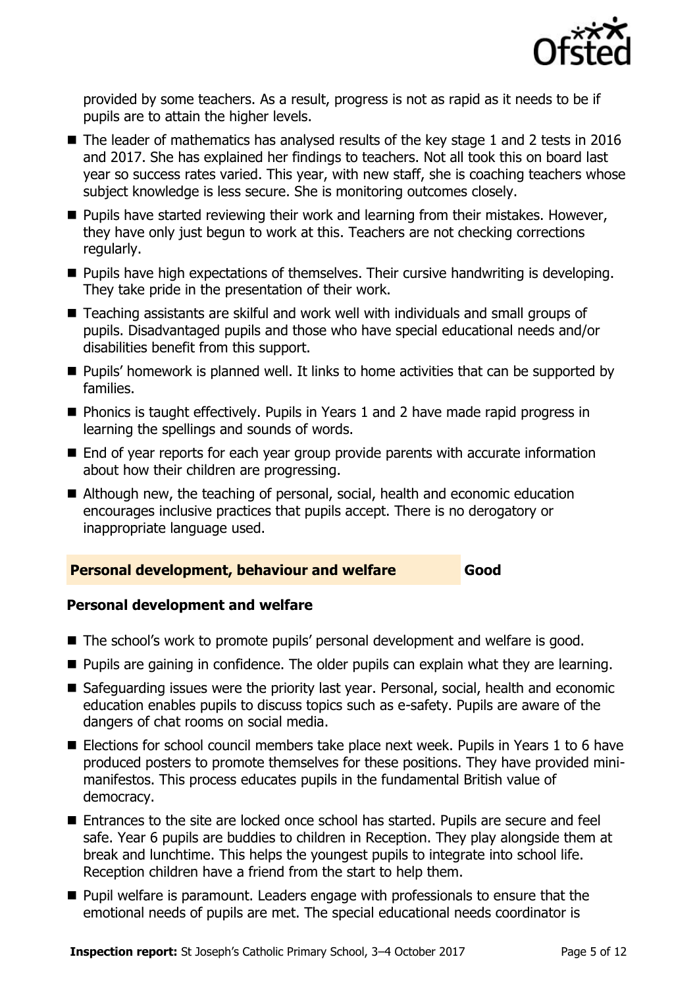

provided by some teachers. As a result, progress is not as rapid as it needs to be if pupils are to attain the higher levels.

- $\blacksquare$  The leader of mathematics has analysed results of the key stage 1 and 2 tests in 2016 and 2017. She has explained her findings to teachers. Not all took this on board last year so success rates varied. This year, with new staff, she is coaching teachers whose subject knowledge is less secure. She is monitoring outcomes closely.
- $\blacksquare$  Pupils have started reviewing their work and learning from their mistakes. However, they have only just begun to work at this. Teachers are not checking corrections regularly.
- **Pupils have high expectations of themselves. Their cursive handwriting is developing.** They take pride in the presentation of their work.
- Teaching assistants are skilful and work well with individuals and small groups of pupils. Disadvantaged pupils and those who have special educational needs and/or disabilities benefit from this support.
- **Pupils'** homework is planned well. It links to home activities that can be supported by families.
- Phonics is taught effectively. Pupils in Years 1 and 2 have made rapid progress in learning the spellings and sounds of words.
- End of year reports for each year group provide parents with accurate information about how their children are progressing.
- Although new, the teaching of personal, social, health and economic education encourages inclusive practices that pupils accept. There is no derogatory or inappropriate language used.

### **Personal development, behaviour and welfare Good**

### **Personal development and welfare**

- The school's work to promote pupils' personal development and welfare is good.
- **Pupils are gaining in confidence. The older pupils can explain what they are learning.**
- Safeguarding issues were the priority last year. Personal, social, health and economic education enables pupils to discuss topics such as e-safety. Pupils are aware of the dangers of chat rooms on social media.
- Elections for school council members take place next week. Pupils in Years 1 to 6 have produced posters to promote themselves for these positions. They have provided minimanifestos. This process educates pupils in the fundamental British value of democracy.
- Entrances to the site are locked once school has started. Pupils are secure and feel safe. Year 6 pupils are buddies to children in Reception. They play alongside them at break and lunchtime. This helps the youngest pupils to integrate into school life. Reception children have a friend from the start to help them.
- **Pupil welfare is paramount. Leaders engage with professionals to ensure that the** emotional needs of pupils are met. The special educational needs coordinator is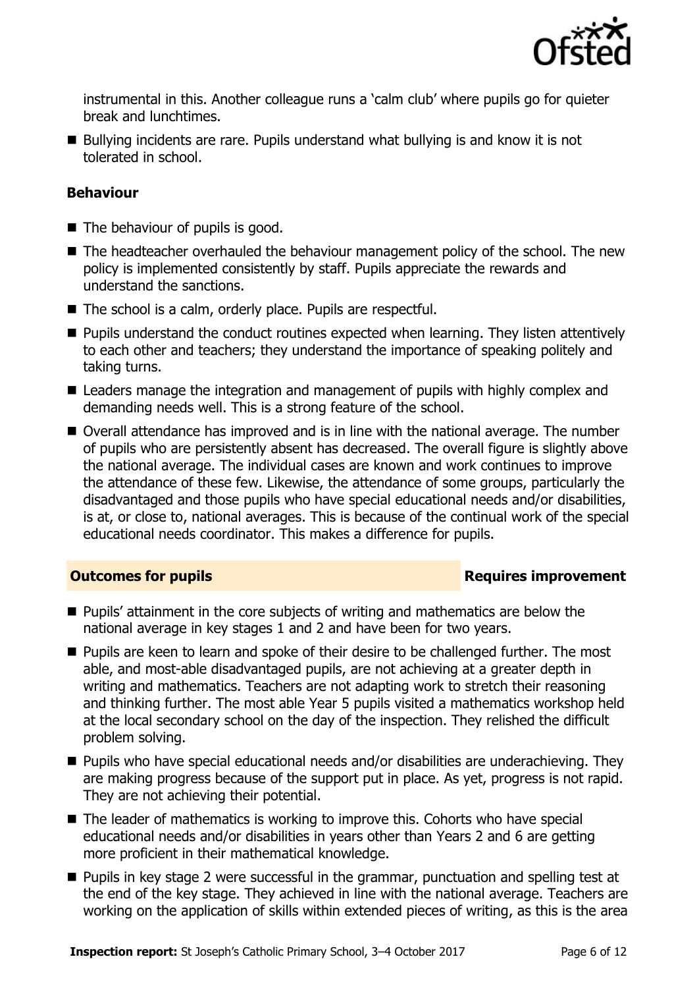

instrumental in this. Another colleague runs a 'calm club' where pupils go for quieter break and lunchtimes.

■ Bullying incidents are rare. Pupils understand what bullying is and know it is not tolerated in school.

### **Behaviour**

- $\blacksquare$  The behaviour of pupils is good.
- The headteacher overhauled the behaviour management policy of the school. The new policy is implemented consistently by staff. Pupils appreciate the rewards and understand the sanctions.
- The school is a calm, orderly place. Pupils are respectful.
- **Pupils understand the conduct routines expected when learning. They listen attentively** to each other and teachers; they understand the importance of speaking politely and taking turns.
- Leaders manage the integration and management of pupils with highly complex and demanding needs well. This is a strong feature of the school.
- Overall attendance has improved and is in line with the national average. The number of pupils who are persistently absent has decreased. The overall figure is slightly above the national average. The individual cases are known and work continues to improve the attendance of these few. Likewise, the attendance of some groups, particularly the disadvantaged and those pupils who have special educational needs and/or disabilities, is at, or close to, national averages. This is because of the continual work of the special educational needs coordinator. This makes a difference for pupils.

### **Outcomes for pupils Requires improvement**

- **Pupils' attainment in the core subjects of writing and mathematics are below the** national average in key stages 1 and 2 and have been for two years.
- **Pupils are keen to learn and spoke of their desire to be challenged further. The most** able, and most-able disadvantaged pupils, are not achieving at a greater depth in writing and mathematics. Teachers are not adapting work to stretch their reasoning and thinking further. The most able Year 5 pupils visited a mathematics workshop held at the local secondary school on the day of the inspection. They relished the difficult problem solving.
- Pupils who have special educational needs and/or disabilities are underachieving. They are making progress because of the support put in place. As yet, progress is not rapid. They are not achieving their potential.
- The leader of mathematics is working to improve this. Cohorts who have special educational needs and/or disabilities in years other than Years 2 and 6 are getting more proficient in their mathematical knowledge.
- **Pupils in key stage 2 were successful in the grammar, punctuation and spelling test at** the end of the key stage. They achieved in line with the national average. Teachers are working on the application of skills within extended pieces of writing, as this is the area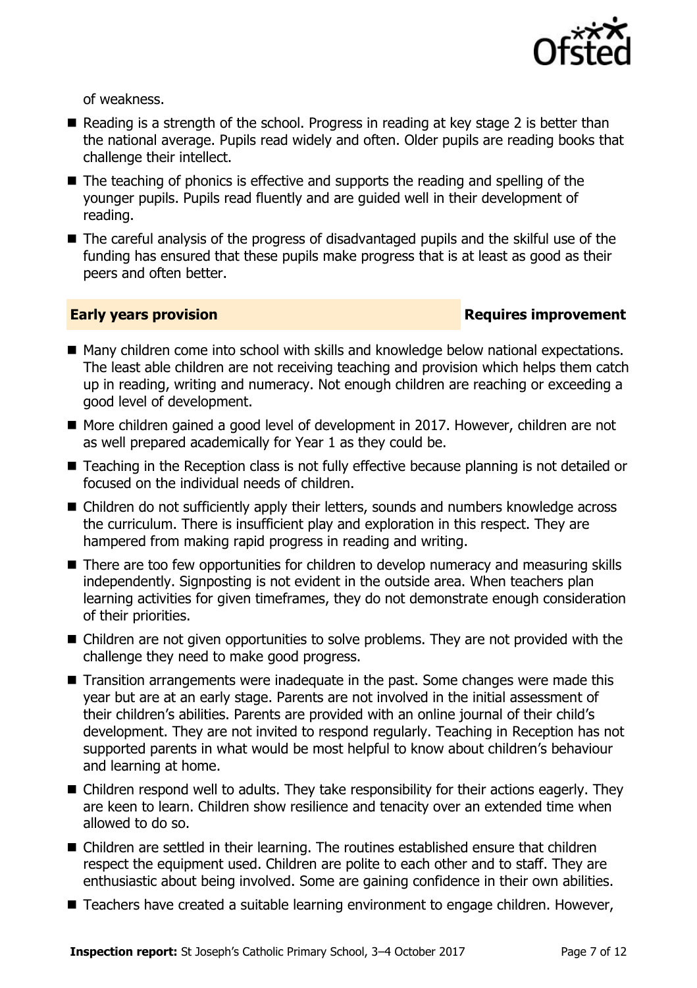

of weakness.

- Reading is a strength of the school. Progress in reading at key stage 2 is better than the national average. Pupils read widely and often. Older pupils are reading books that challenge their intellect.
- $\blacksquare$  The teaching of phonics is effective and supports the reading and spelling of the younger pupils. Pupils read fluently and are guided well in their development of reading.
- The careful analysis of the progress of disadvantaged pupils and the skilful use of the funding has ensured that these pupils make progress that is at least as good as their peers and often better.

### **Early years provision**

- Many children come into school with skills and knowledge below national expectations. The least able children are not receiving teaching and provision which helps them catch up in reading, writing and numeracy. Not enough children are reaching or exceeding a good level of development.
- More children gained a good level of development in 2017. However, children are not as well prepared academically for Year 1 as they could be.
- Teaching in the Reception class is not fully effective because planning is not detailed or focused on the individual needs of children.
- Children do not sufficiently apply their letters, sounds and numbers knowledge across the curriculum. There is insufficient play and exploration in this respect. They are hampered from making rapid progress in reading and writing.
- There are too few opportunities for children to develop numeracy and measuring skills independently. Signposting is not evident in the outside area. When teachers plan learning activities for given timeframes, they do not demonstrate enough consideration of their priorities.
- Children are not given opportunities to solve problems. They are not provided with the challenge they need to make good progress.
- Transition arrangements were inadequate in the past. Some changes were made this year but are at an early stage. Parents are not involved in the initial assessment of their children's abilities. Parents are provided with an online journal of their child's development. They are not invited to respond regularly. Teaching in Reception has not supported parents in what would be most helpful to know about children's behaviour and learning at home.
- Children respond well to adults. They take responsibility for their actions eagerly. They are keen to learn. Children show resilience and tenacity over an extended time when allowed to do so.
- Children are settled in their learning. The routines established ensure that children respect the equipment used. Children are polite to each other and to staff. They are enthusiastic about being involved. Some are gaining confidence in their own abilities.
- Teachers have created a suitable learning environment to engage children. However,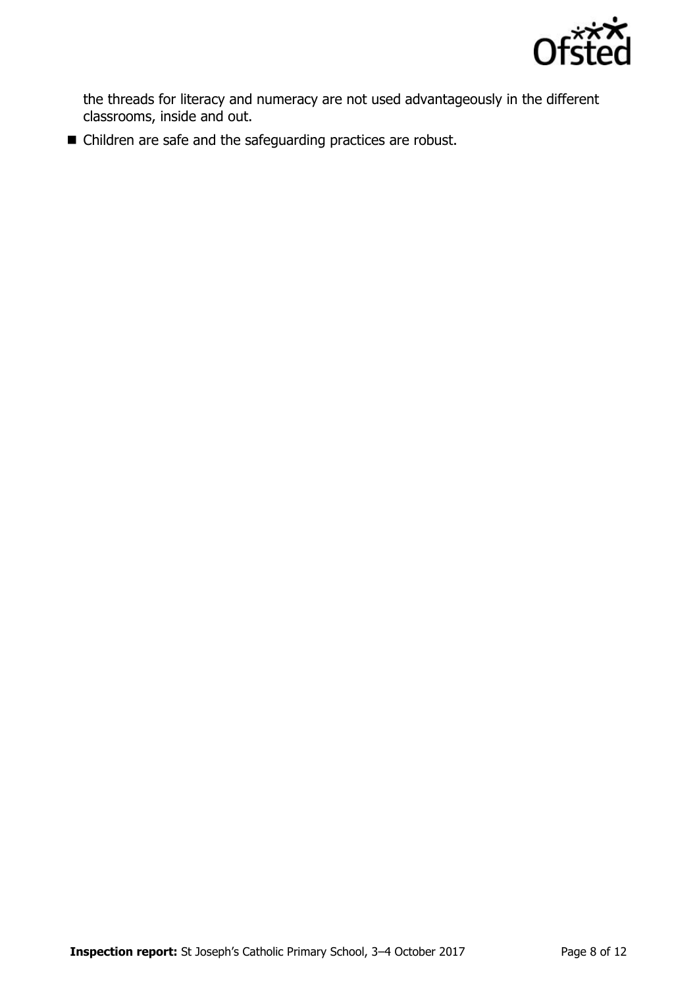

the threads for literacy and numeracy are not used advantageously in the different classrooms, inside and out.

■ Children are safe and the safeguarding practices are robust.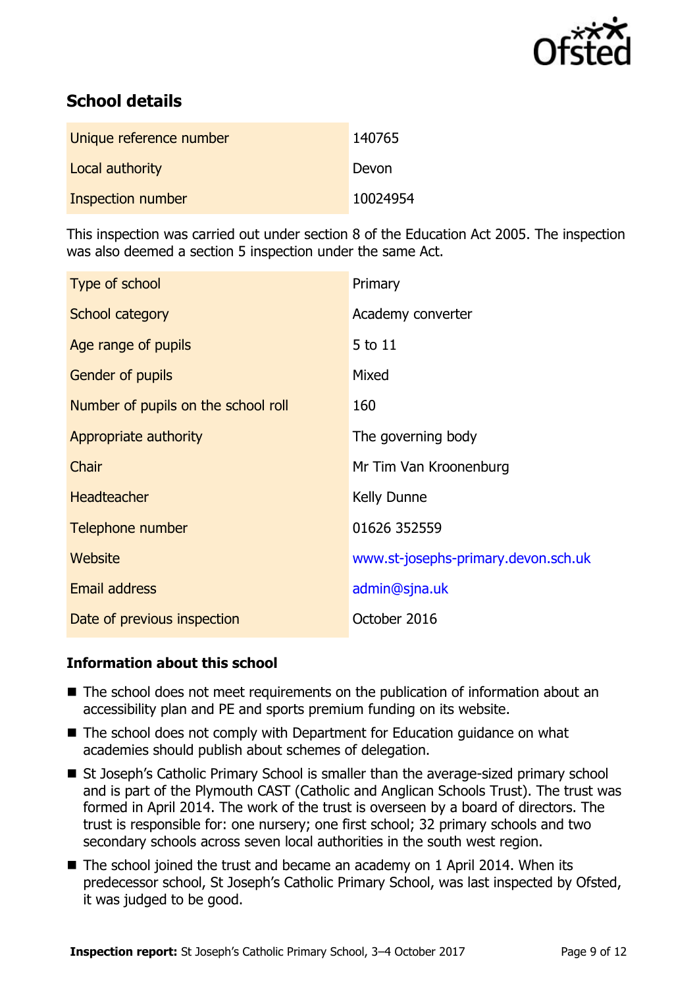

# **School details**

| Unique reference number | 140765   |
|-------------------------|----------|
| Local authority         | Devon    |
| Inspection number       | 10024954 |

This inspection was carried out under section 8 of the Education Act 2005. The inspection was also deemed a section 5 inspection under the same Act.

| Type of school                      | Primary                             |
|-------------------------------------|-------------------------------------|
| School category                     | Academy converter                   |
| Age range of pupils                 | 5 to 11                             |
| <b>Gender of pupils</b>             | Mixed                               |
| Number of pupils on the school roll | 160                                 |
| Appropriate authority               | The governing body                  |
| Chair                               | Mr Tim Van Kroonenburg              |
| <b>Headteacher</b>                  | Kelly Dunne                         |
| Telephone number                    | 01626 352559                        |
| Website                             | www.st-josephs-primary.devon.sch.uk |
| Email address                       | admin@sjna.uk                       |
| Date of previous inspection         | October 2016                        |

### **Information about this school**

- The school does not meet requirements on the publication of information about an accessibility plan and PE and sports premium funding on its website.
- The school does not comply with Department for Education guidance on what academies should publish about schemes of delegation.
- St Joseph's Catholic Primary School is smaller than the average-sized primary school and is part of the Plymouth CAST (Catholic and Anglican Schools Trust). The trust was formed in April 2014. The work of the trust is overseen by a board of directors. The trust is responsible for: one nursery; one first school; 32 primary schools and two secondary schools across seven local authorities in the south west region.
- The school joined the trust and became an academy on 1 April 2014. When its predecessor school, St Joseph's Catholic Primary School, was last inspected by Ofsted, it was judged to be good.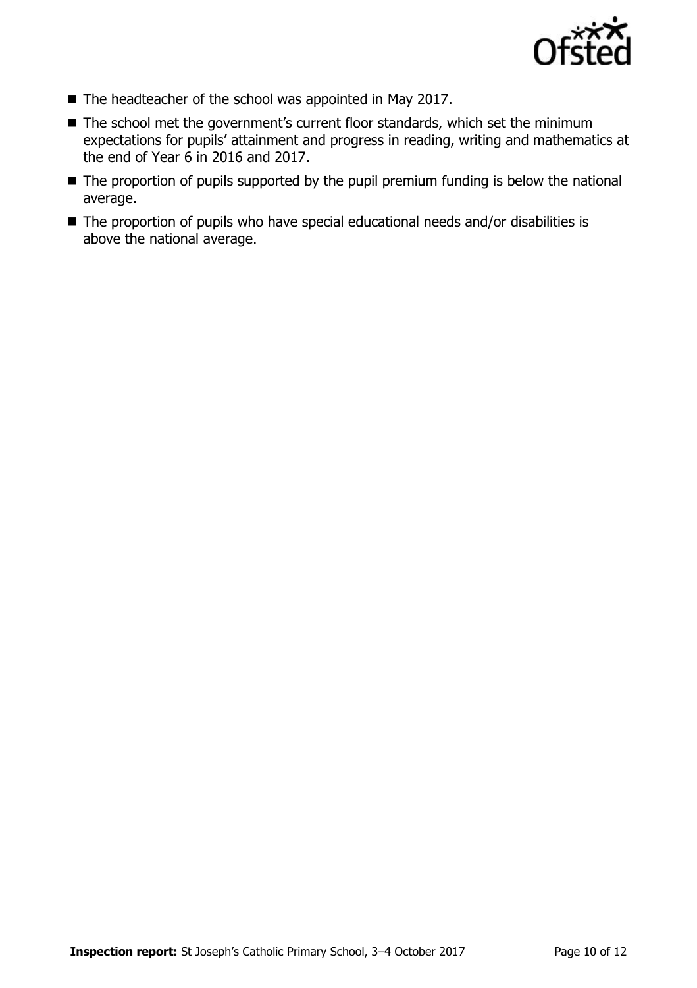

- The headteacher of the school was appointed in May 2017.
- The school met the government's current floor standards, which set the minimum expectations for pupils' attainment and progress in reading, writing and mathematics at the end of Year 6 in 2016 and 2017.
- The proportion of pupils supported by the pupil premium funding is below the national average.
- The proportion of pupils who have special educational needs and/or disabilities is above the national average.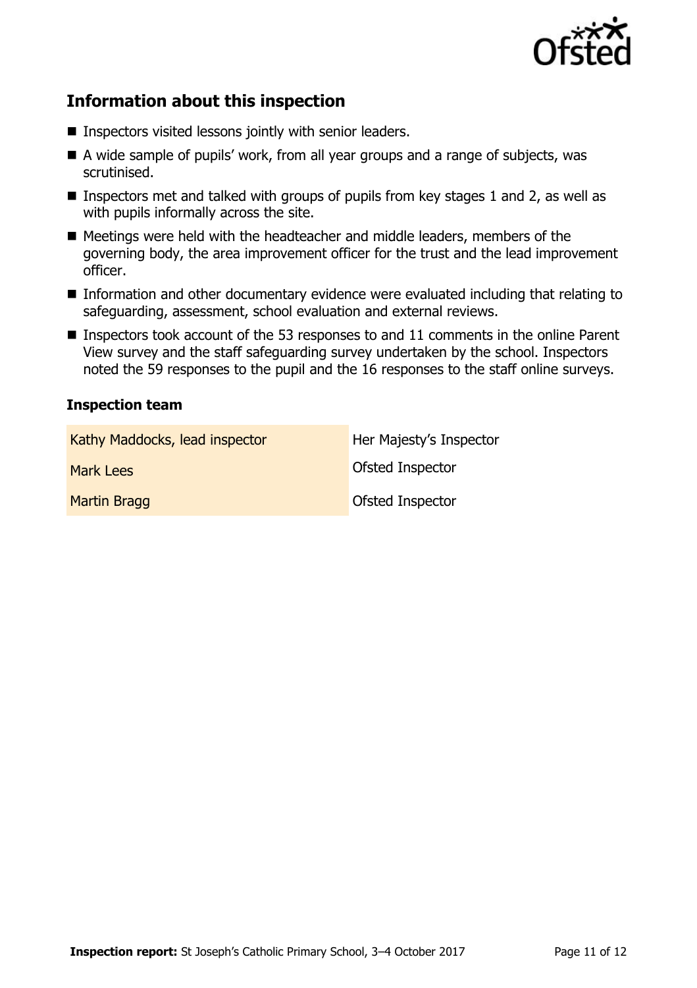

# **Information about this inspection**

- Inspectors visited lessons jointly with senior leaders.
- A wide sample of pupils' work, from all year groups and a range of subjects, was scrutinised.
- **Inspectors met and talked with groups of pupils from key stages 1 and 2, as well as** with pupils informally across the site.
- Meetings were held with the headteacher and middle leaders, members of the governing body, the area improvement officer for the trust and the lead improvement officer.
- Information and other documentary evidence were evaluated including that relating to safeguarding, assessment, school evaluation and external reviews.
- Inspectors took account of the 53 responses to and 11 comments in the online Parent View survey and the staff safeguarding survey undertaken by the school. Inspectors noted the 59 responses to the pupil and the 16 responses to the staff online surveys.

### **Inspection team**

| Kathy Maddocks, lead inspector | Her Majesty's Inspector |
|--------------------------------|-------------------------|
| Mark Lees                      | Ofsted Inspector        |
| Martin Bragg                   | Ofsted Inspector        |